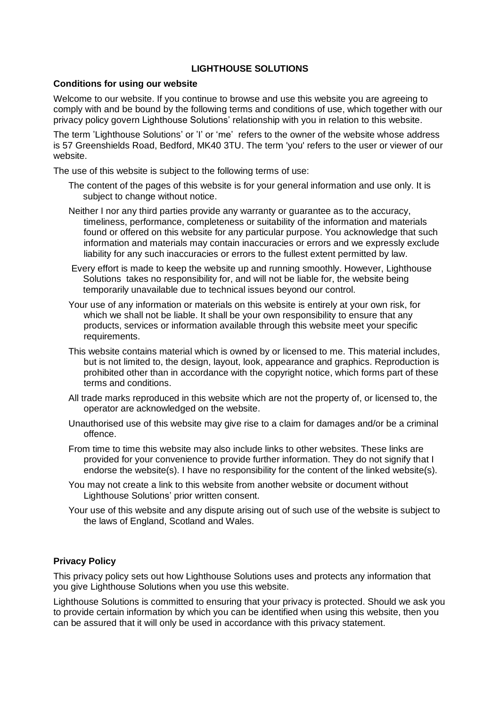# **LIGHTHOUSE SOLUTIONS**

### **Conditions for using our website**

Welcome to our website. If you continue to browse and use this website you are agreeing to comply with and be bound by the following terms and conditions of use, which together with our privacy policy govern Lighthouse Solutions' relationship with you in relation to this website.

The term 'Lighthouse Solutions' or 'I' or 'me' refers to the owner of the website whose address is 57 Greenshields Road, Bedford, MK40 3TU. The term 'you' refers to the user or viewer of our website.

The use of this website is subject to the following terms of use:

- The content of the pages of this website is for your general information and use only. It is subject to change without notice.
- Neither I nor any third parties provide any warranty or guarantee as to the accuracy, timeliness, performance, completeness or suitability of the information and materials found or offered on this website for any particular purpose. You acknowledge that such information and materials may contain inaccuracies or errors and we expressly exclude liability for any such inaccuracies or errors to the fullest extent permitted by law.
- Every effort is made to keep the website up and running smoothly. However, Lighthouse Solutions takes no responsibility for, and will not be liable for, the website being temporarily unavailable due to technical issues beyond our control.
- Your use of any information or materials on this website is entirely at your own risk, for which we shall not be liable. It shall be your own responsibility to ensure that any products, services or information available through this website meet your specific requirements.
- This website contains material which is owned by or licensed to me. This material includes, but is not limited to, the design, layout, look, appearance and graphics. Reproduction is prohibited other than in accordance with the copyright notice, which forms part of these terms and conditions.
- All trade marks reproduced in this website which are not the property of, or licensed to, the operator are acknowledged on the website.
- Unauthorised use of this website may give rise to a claim for damages and/or be a criminal offence.
- From time to time this website may also include links to other websites. These links are provided for your convenience to provide further information. They do not signify that I endorse the website(s). I have no responsibility for the content of the linked website(s).
- You may not create a link to this website from another website or document without Lighthouse Solutions' prior written consent.
- Your use of this website and any dispute arising out of such use of the website is subject to the laws of England, Scotland and Wales.

# **Privacy Policy**

This privacy policy sets out how Lighthouse Solutions uses and protects any information that you give Lighthouse Solutions when you use this website.

Lighthouse Solutions is committed to ensuring that your privacy is protected. Should we ask you to provide certain information by which you can be identified when using this website, then you can be assured that it will only be used in accordance with this privacy statement.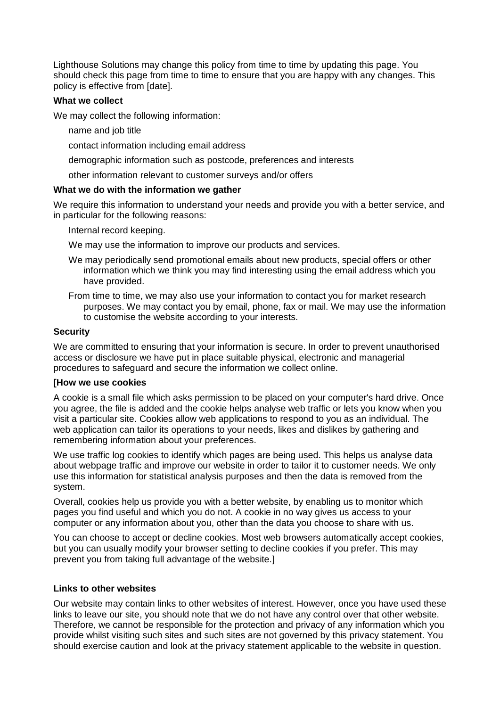Lighthouse Solutions may change this policy from time to time by updating this page. You should check this page from time to time to ensure that you are happy with any changes. This policy is effective from [date].

## **What we collect**

We may collect the following information:

name and job title

contact information including email address

demographic information such as postcode, preferences and interests

other information relevant to customer surveys and/or offers

#### **What we do with the information we gather**

We require this information to understand your needs and provide you with a better service, and in particular for the following reasons:

Internal record keeping.

We may use the information to improve our products and services.

- We may periodically send promotional emails about new products, special offers or other information which we think you may find interesting using the email address which you have provided.
- From time to time, we may also use your information to contact you for market research purposes. We may contact you by email, phone, fax or mail. We may use the information to customise the website according to your interests.

### **Security**

We are committed to ensuring that your information is secure. In order to prevent unauthorised access or disclosure we have put in place suitable physical, electronic and managerial procedures to safeguard and secure the information we collect online.

#### **[How we use cookies**

A cookie is a small file which asks permission to be placed on your computer's hard drive. Once you agree, the file is added and the cookie helps analyse web traffic or lets you know when you visit a particular site. Cookies allow web applications to respond to you as an individual. The web application can tailor its operations to your needs, likes and dislikes by gathering and remembering information about your preferences.

We use traffic log cookies to identify which pages are being used. This helps us analyse data about webpage traffic and improve our website in order to tailor it to customer needs. We only use this information for statistical analysis purposes and then the data is removed from the system.

Overall, cookies help us provide you with a better website, by enabling us to monitor which pages you find useful and which you do not. A cookie in no way gives us access to your computer or any information about you, other than the data you choose to share with us.

You can choose to accept or decline cookies. Most web browsers automatically accept cookies, but you can usually modify your browser setting to decline cookies if you prefer. This may prevent you from taking full advantage of the website.]

# **Links to other websites**

Our website may contain links to other websites of interest. However, once you have used these links to leave our site, you should note that we do not have any control over that other website. Therefore, we cannot be responsible for the protection and privacy of any information which you provide whilst visiting such sites and such sites are not governed by this privacy statement. You should exercise caution and look at the privacy statement applicable to the website in question.